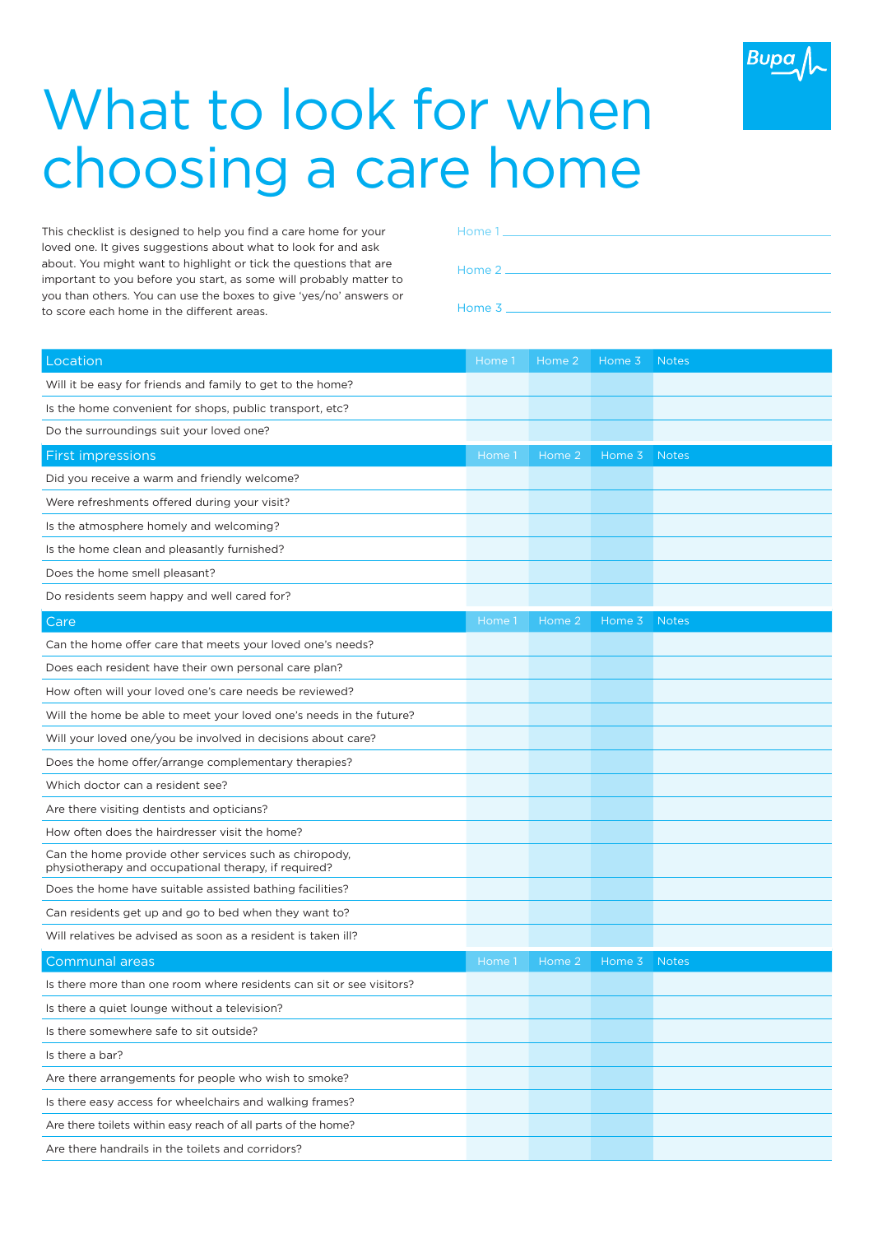

## What to look for when choosing a care home

This checklist is designed to help you find a care home for your loved one. It gives suggestions about what to look for and ask about. You might want to highlight or tick the questions that are important to you before you start, as some will probably matter to you than others. You can use the boxes to give 'yes/no' answers or to score each home in the different areas.

| Location                                                                                                       | Home 1 | Home 2 | Home 3 | <b>Notes</b> |
|----------------------------------------------------------------------------------------------------------------|--------|--------|--------|--------------|
| Will it be easy for friends and family to get to the home?                                                     |        |        |        |              |
| Is the home convenient for shops, public transport, etc?                                                       |        |        |        |              |
| Do the surroundings suit your loved one?                                                                       |        |        |        |              |
| <b>First impressions</b>                                                                                       | Home 1 | Home 2 | Home 3 | <b>Notes</b> |
| Did you receive a warm and friendly welcome?                                                                   |        |        |        |              |
| Were refreshments offered during your visit?                                                                   |        |        |        |              |
| Is the atmosphere homely and welcoming?                                                                        |        |        |        |              |
| Is the home clean and pleasantly furnished?                                                                    |        |        |        |              |
| Does the home smell pleasant?                                                                                  |        |        |        |              |
| Do residents seem happy and well cared for?                                                                    |        |        |        |              |
| Care                                                                                                           | Home 1 | Home 2 | Home 3 | <b>Notes</b> |
| Can the home offer care that meets your loved one's needs?                                                     |        |        |        |              |
| Does each resident have their own personal care plan?                                                          |        |        |        |              |
| How often will your loved one's care needs be reviewed?                                                        |        |        |        |              |
| Will the home be able to meet your loved one's needs in the future?                                            |        |        |        |              |
| Will your loved one/you be involved in decisions about care?                                                   |        |        |        |              |
| Does the home offer/arrange complementary therapies?                                                           |        |        |        |              |
| Which doctor can a resident see?                                                                               |        |        |        |              |
| Are there visiting dentists and opticians?                                                                     |        |        |        |              |
| How often does the hairdresser visit the home?                                                                 |        |        |        |              |
| Can the home provide other services such as chiropody,<br>physiotherapy and occupational therapy, if required? |        |        |        |              |
| Does the home have suitable assisted bathing facilities?                                                       |        |        |        |              |
| Can residents get up and go to bed when they want to?                                                          |        |        |        |              |
| Will relatives be advised as soon as a resident is taken ill?                                                  |        |        |        |              |
| <b>Communal areas</b>                                                                                          | Home 1 | Home 2 | Home 3 | <b>Notes</b> |
| Is there more than one room where residents can sit or see visitors?                                           |        |        |        |              |
| Is there a quiet lounge without a television?                                                                  |        |        |        |              |
| Is there somewhere safe to sit outside?                                                                        |        |        |        |              |
| Is there a bar?                                                                                                |        |        |        |              |
| Are there arrangements for people who wish to smoke?                                                           |        |        |        |              |
| Is there easy access for wheelchairs and walking frames?                                                       |        |        |        |              |
| Are there toilets within easy reach of all parts of the home?                                                  |        |        |        |              |
|                                                                                                                |        |        |        |              |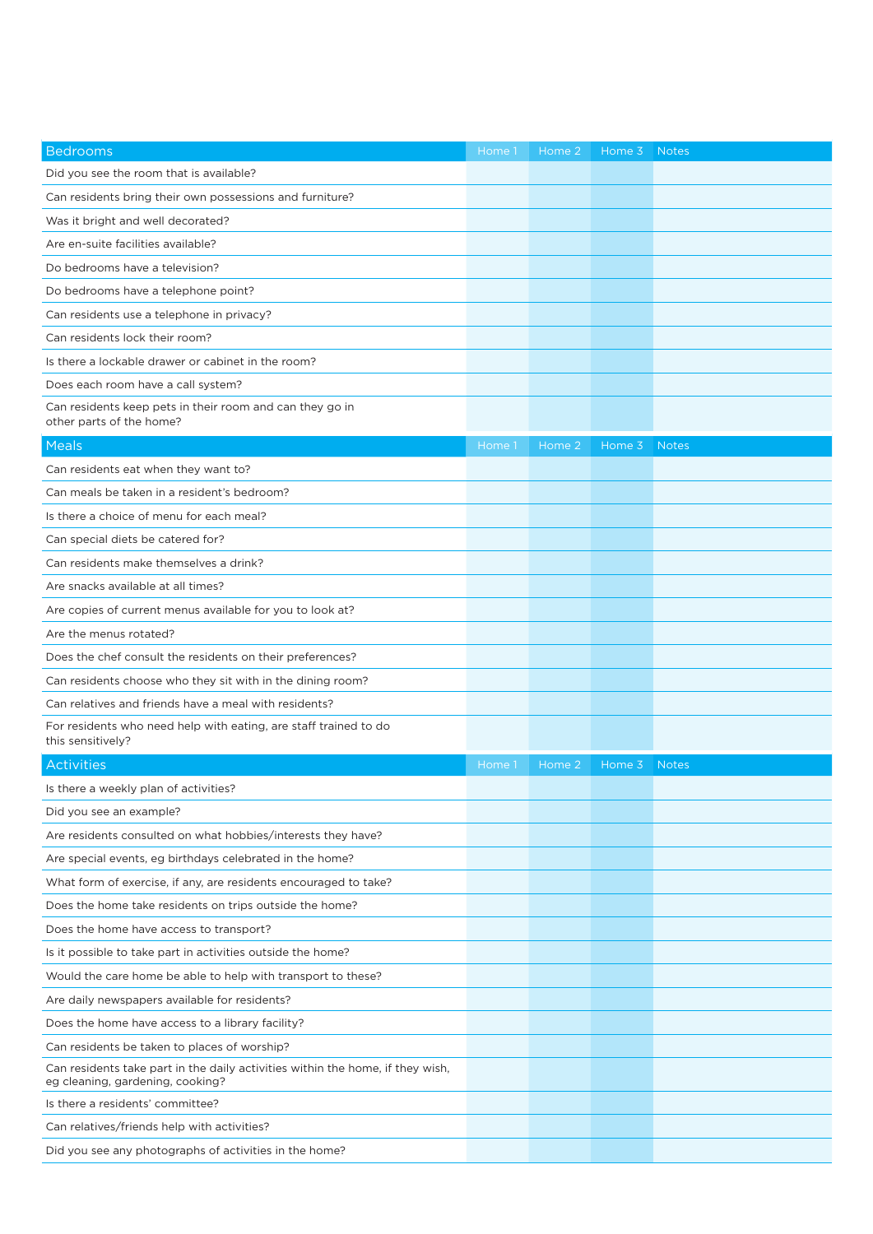| <b>Bedrooms</b>                                                                                                    | Home 1 | Home 2 | Home 3 | <b>Notes</b> |
|--------------------------------------------------------------------------------------------------------------------|--------|--------|--------|--------------|
| Did you see the room that is available?                                                                            |        |        |        |              |
| Can residents bring their own possessions and furniture?                                                           |        |        |        |              |
| Was it bright and well decorated?                                                                                  |        |        |        |              |
| Are en-suite facilities available?                                                                                 |        |        |        |              |
| Do bedrooms have a television?                                                                                     |        |        |        |              |
| Do bedrooms have a telephone point?                                                                                |        |        |        |              |
| Can residents use a telephone in privacy?                                                                          |        |        |        |              |
| Can residents lock their room?                                                                                     |        |        |        |              |
| Is there a lockable drawer or cabinet in the room?                                                                 |        |        |        |              |
| Does each room have a call system?                                                                                 |        |        |        |              |
| Can residents keep pets in their room and can they go in<br>other parts of the home?                               |        |        |        |              |
| Meals                                                                                                              | Home 1 | Home 2 | Home 3 | <b>Notes</b> |
| Can residents eat when they want to?                                                                               |        |        |        |              |
| Can meals be taken in a resident's bedroom?                                                                        |        |        |        |              |
| Is there a choice of menu for each meal?                                                                           |        |        |        |              |
| Can special diets be catered for?                                                                                  |        |        |        |              |
| Can residents make themselves a drink?                                                                             |        |        |        |              |
| Are snacks available at all times?                                                                                 |        |        |        |              |
| Are copies of current menus available for you to look at?                                                          |        |        |        |              |
| Are the menus rotated?                                                                                             |        |        |        |              |
| Does the chef consult the residents on their preferences?                                                          |        |        |        |              |
| Can residents choose who they sit with in the dining room?                                                         |        |        |        |              |
| Can relatives and friends have a meal with residents?                                                              |        |        |        |              |
| For residents who need help with eating, are staff trained to do<br>this sensitively?                              |        |        |        |              |
| Activities                                                                                                         | Home 1 | Home 2 | Home 3 | <b>Notes</b> |
| Is there a weekly plan of activities?                                                                              |        |        |        |              |
| Did you see an example?                                                                                            |        |        |        |              |
| Are residents consulted on what hobbies/interests they have?                                                       |        |        |        |              |
| Are special events, eg birthdays celebrated in the home?                                                           |        |        |        |              |
| What form of exercise, if any, are residents encouraged to take?                                                   |        |        |        |              |
| Does the home take residents on trips outside the home?                                                            |        |        |        |              |
| Does the home have access to transport?                                                                            |        |        |        |              |
| Is it possible to take part in activities outside the home?                                                        |        |        |        |              |
| Would the care home be able to help with transport to these?                                                       |        |        |        |              |
| Are daily newspapers available for residents?                                                                      |        |        |        |              |
| Does the home have access to a library facility?                                                                   |        |        |        |              |
| Can residents be taken to places of worship?                                                                       |        |        |        |              |
| Can residents take part in the daily activities within the home, if they wish,<br>eg cleaning, gardening, cooking? |        |        |        |              |
| Is there a residents' committee?                                                                                   |        |        |        |              |
| Can relatives/friends help with activities?                                                                        |        |        |        |              |
| Did you see any photographs of activities in the home?                                                             |        |        |        |              |